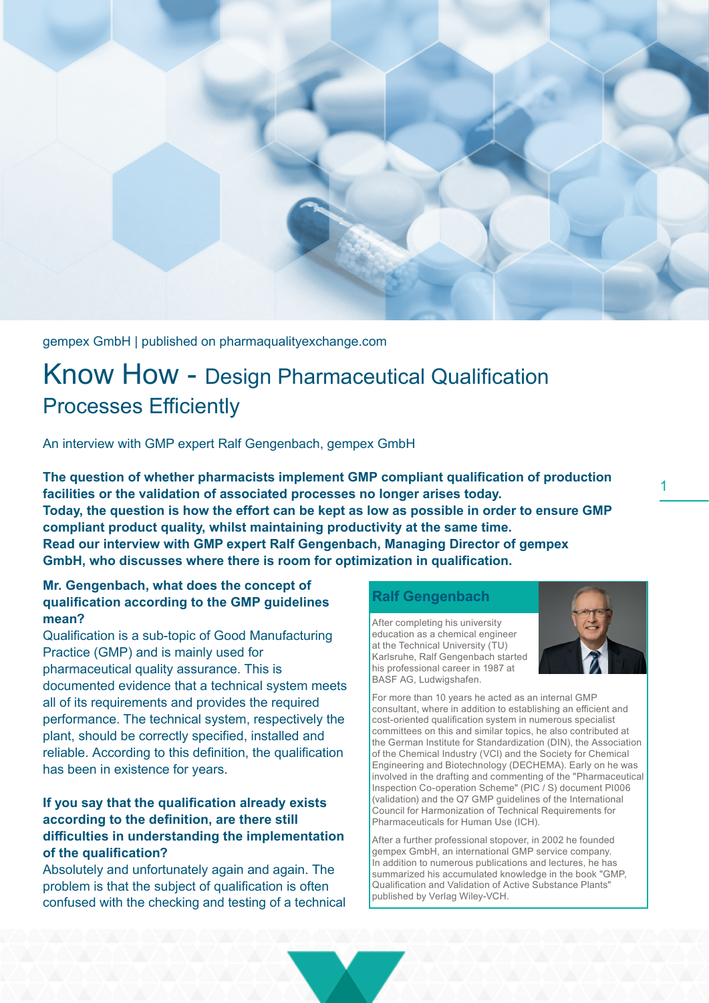

gempex GmbH | published on pharmaqualityexchange.com

# Know How - Design Pharmaceutical Qualification Processes Efficiently **in the community** of the maio. Given the maio. Accupation of the model of the model of the model of the model of the model of the model of the model of the model of the model of the model of the mode

An interview with GMP expert Ralf Gengenbach, gempex GmbH

**si dolorum id et fuga. Odit mi, ni dolorum id et modis et aliquo et untiatus verepro quis aliquam The question of whether pharmacists implement GMP compliant qualification of production**  facilities or the validation of associated processes no longer arises today. Today, the question is how the effort can be kept as low as possible in order to ensure **GMP** compliant product quality, whilst maintaining productivity at the same time. **Read our interview with GMP expert Ralf Gengenbach, Managing Director of gempex GmbH, who discusses where there is room for optimization in qualification.**

#### **qualification according to the GMP guidelines Mr. Gengenbach, what does the concept of mean?**

Qualification is a sub-topic of Good Manufacturing Practice (GMP) and is mainly used for pharmaceutical quality assurance. This is documented evidence that a technical system meets all of its requirements and provides the required performance. The technical system, respectively the plant, should be correctly specified, installed and reliable. According to this definition, the qualification has been in existence for years.

# If you say that the qualification already exists according to the definition, are there still difficulties in understanding the implementation of the qualification?

Absolutely and unfortunately again and again. The problem is that the subject of qualification is often confused with the checking and testing of a technical

# **Ralf Gengenbach**

After completing his university education as a chemical engineer at the Technical University (TU) Karlsruhe, Ralf Gengenbach started his professional career in 1987 at BASF AG, Ludwigshafen.



1

For more than 10 years he acted as an internal GMP consultant, where in addition to establishing an efficient and cost-oriented qualification system in numerous specialist committees on this and similar topics, he also contributed at the German Institute for Standardization (DIN), the Association of the Chemical Industry (VCI) and the Society for Chemical Engineering and Biotechnology (DECHEMA). Early on he was involved in the drafting and commenting of the "Pharmaceutical Inspection Co-operation Scheme" (PIC / S) document PI006 (validation) and the Q7 GMP guidelines of the International Council for Harmonization of Technical Requirements for Pharmaceuticals for Human Use (ICH).

After a further professional stopover, in 2002 he founded gempex GmbH, an international GMP service company. In addition to numerous publications and lectures, he has summarized his accumulated knowledge in the book "GMP, Qualification and Validation of Active Substance Plants" published by Verlag Wiley-VCH.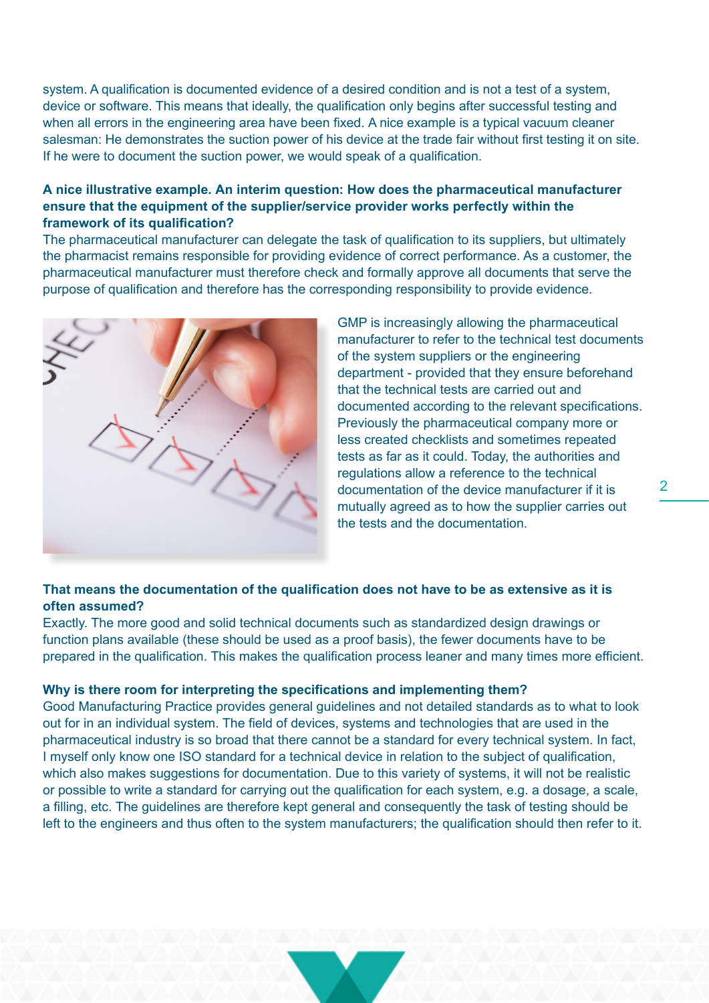**Ucilit aut re, que la dunt, alignis archit alis** system. A qualification is documented evidence of a desired condition and is not a test of a system, when all errors in the engineering area have been fixed. A nice example is a typical vacuum cleaner salesman: He demonstrates the suction power of his device at the trade fair without first testing it on site. If he were to document the suction power, we would speak of a qualification. device or software. This means that ideally, the qualification only begins after successful testing and

# A nice illustrative example. An interim question: How does the pharmaceutical manufacturer ensure that the equipment of the supplier/service provider works perfectly within the utaspis ut reri denda dere nat volor sus maxime reptata temqui derumet untiberiatem imaio. Liandus, **framework of its qualification?**

The pharmaceutical manufacturer can delegate the task of qualification to its suppliers, but ultimately **Ucilit aut re, que la dunt, alignis archit alis** purpose of qualification and therefore has the corresponding responsibility to provide evidence. the pharmacist remains responsible for providing evidence of correct performance. As a customer, the pharmaceutical manufacturer must therefore check and formally approve all documents that serve the



even the manufacturer to refer to the technical test documents restriction in the community of the system suppliers or the engineering<br>
of the system suppliers or the engineering department - provided that they ensure beforehand Facius and the commissions are calluded and the relevant specifications. Facius and commissions allow a reference to the technical regulations allow a reference to the technical less created checklists and sometimes repeated tests as far as it could. Today, the authorities and

## **That means the documentation of the qualification does not have to be as extensive as it is often assumed?**

orten assumeu*r*<br>Exactly. The more good and solid technical documents such as standardized design drawings or function plans available (these should be used as a proof basis), the fewer documents have to be prepared in the qualification. This makes the qualification process leaner and many times more efficient.

## Why is there room for interpreting the specifications and implementing them?

Good Manufacturing Practice provides general guidelines and not detailed standards as to what to look out for in an individual system. The field of devices, systems and technologies that are used in the pharmaceutical industry is so broad that there cannot be a standard for every technical system. In fact, I myself only know one ISO standard for a technical device in relation to the subject of qualification, which also makes suggestions for documentation. Due to this variety of systems, it will not be realistic or possible to write a standard for carrying out the qualification for each system, e.g. a dosage, a scale, a filling, etc. The guidelines are therefore kept general and consequently the task of testing should be left to the engineers and thus often to the system manufacturers; the qualification should then refer to it.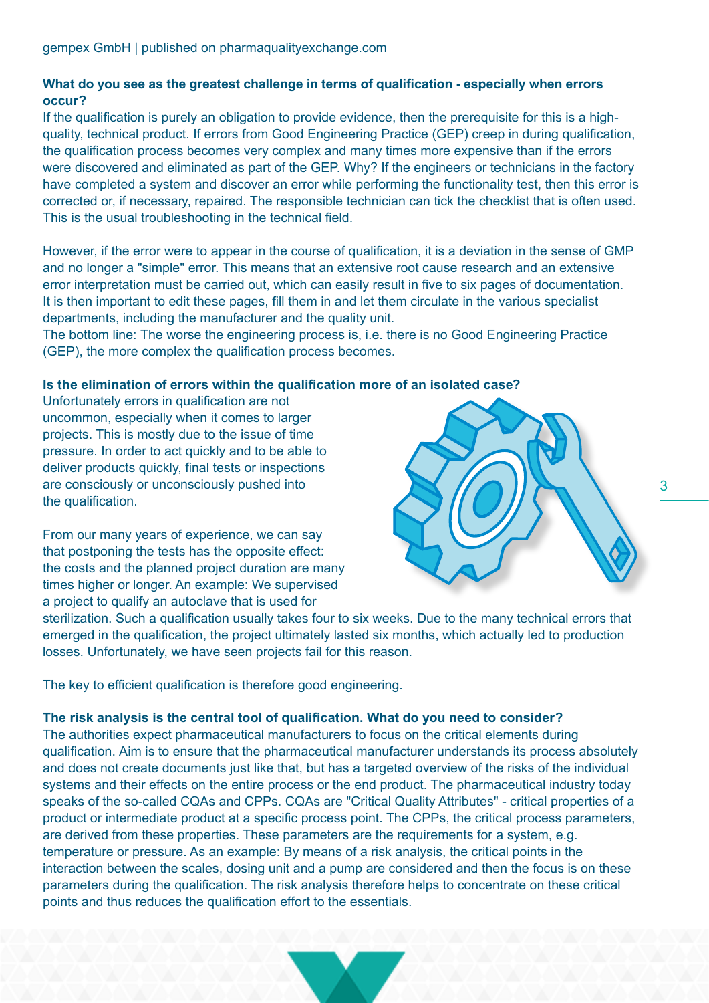#### **Ucilit aut re, que la dunt, alignis archit alis What do you see as the greatest challenge in terms of qualification - especially when errors occur?**

If the qualification is purely an obligation to provide evidence, then the prerequisite for this is a highquality, technical product. If errors from Good Engineering Practice (GEP) creep in during qualification, the qualification process becomes very complex and many times more expensive than if the errors were discovered and eliminated as part of the GEP. Why? If the engineers or technicians in the factory have completed a system and discover an error while performing the functionality test, then this error is corrected or, if necessary, repaired. The responsible technician can tick the checklist that is often used.<br>— This is the usual troubleshooting in the technical field.

ne estibusdae non net omn error interpretation must be carried out, which can easily result in five to six pages of documentation. departments, including the manufacturer and the quality unit. However, if the error were to appear in the course of qualification, it is a deviation in the sense of GMP and no longer a "simple" error. This means that an extensive root cause research and an extensive It is then important to edit these pages, fill them in and let them circulate in the various specialist

The bottom line: The worse the engineering process is, i.e. there is no Good Engineering Practice (GEP), the more complex the qualification process becomes.

#### Is the elimination of errors within the qualification more of an isolated case?

uncommon, especially when it comes to larger untiberiatem images when it comes to larger projects. This is mostly due to the issue of time deliver products quickly, final tests or inspections and the state of inspections of the state of ideas or inspections of the state of the state of the state of the state of the state of the state of the state of the state are consciously or unconsciously pushed into **are all and until the sus many pushed into** the qualification. The sum version of the sum vertex in the sum version of the sum version of the sum version of the sum version of the sum version of the sum version of the sum version of the sum version of the sum versio pressure. In order to act quickly and to be able to

From our many years of experience, we can say that postponing the tests has the opposite effect: the costs and the planned project duration are many times higher or longer. An example: We supervised a project to qualify an autoclave that is used for



sterilization. Such a qualification usually takes four to six weeks. Due to the many technical errors that emerged in the qualification, the project ultimately lasted six months, which actually led to production<br>Lesses allufative talks we have a second into fail factlie was see losses. Unfortunately, we have seen projects fail for this reason.

**venimus ventust ut aut laudae nimolorem cone vit voloruptus comnim doluptate in porione**  The key to efficient qualification is therefore good engineering.

#### **si dolores mos dicil ea volor sinci deribus estrum eos nos aut expe volupta esecto volores The risk analysis is the central tool of qualification. What do you need to consider?**

**tected**, content The authorities expect pharmaceutical manufacturers to focus on the critical elements during qualification. Aim is to ensure that the pharmaceutical manufacturer understands its process absolutely and does not create documents just like that, but has a targeted overview of the risks of the individual systems and their effects on the entire process or the end product. The pharmaceutical industry today speaks of the so-called CQAs and CPPs. CQAs are "Critical Quality Attributes" - critical properties of a product or intermediate product at a specific process point. The CPPs, the critical process parameters, are derived from these properties. These parameters are the requirements for a system, e.g. temperature or pressure. As an example: By means of a risk analysis, the critical points in the interaction between the scales, dosing unit and a pump are considered and then the focus is on these parameters during the qualification. The risk analysis therefore helps to concentrate on these critical points and thus reduces the qualification effort to the essentials.